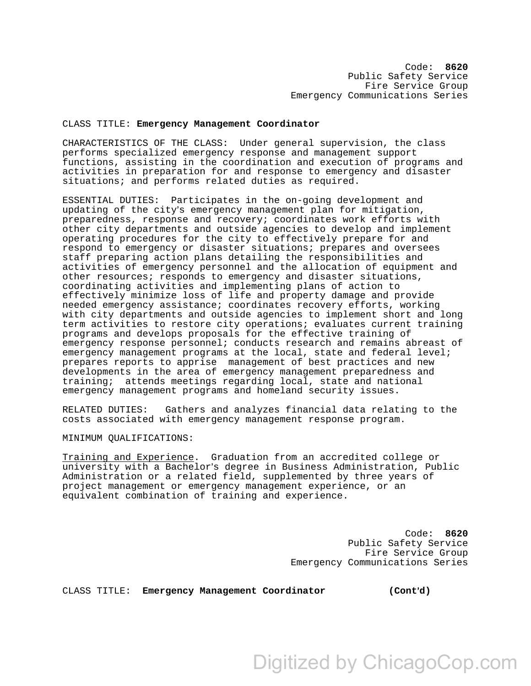## CLASS TITLE: **Emergency Management Coordinator**

CHARACTERISTICS OF THE CLASS: Under general supervision, the class performs specialized emergency response and management support functions, assisting in the coordination and execution of programs and activities in preparation for and response to emergency and disaster situations; and performs related duties as required.

ESSENTIAL DUTIES: Participates in the on-going development and updating of the city's emergency management plan for mitigation, preparedness, response and recovery; coordinates work efforts with other city departments and outside agencies to develop and implement operating procedures for the city to effectively prepare for and respond to emergency or disaster situations; prepares and oversees staff preparing action plans detailing the responsibilities and activities of emergency personnel and the allocation of equipment and other resources; responds to emergency and disaster situations, coordinating activities and implementing plans of action to effectively minimize loss of life and property damage and provide needed emergency assistance; coordinates recovery efforts, working with city departments and outside agencies to implement short and long term activities to restore city operations; evaluates current training programs and develops proposals for the effective training of emergency response personnel; conducts research and remains abreast of emergency management programs at the local, state and federal level; prepares reports to apprise management of best practices and new developments in the area of emergency management preparedness and training; attends meetings regarding local, state and national emergency management programs and homeland security issues.

RELATED DUTIES: Gathers and analyzes financial data relating to the costs associated with emergency management response program.

## MINIMUM QUALIFICATIONS:

Training and Experience. Graduation from an accredited college or university with a Bachelor's degree in Business Administration, Public Administration or a related field, supplemented by three years of project management or emergency management experience, or an equivalent combination of training and experience.

> Code: **8620**  Public Safety Service Fire Service Group Emergency Communications Series

CLASS TITLE: Emergency Management Coordinator (Cont'd)

Digitized by ChicagoCop.com